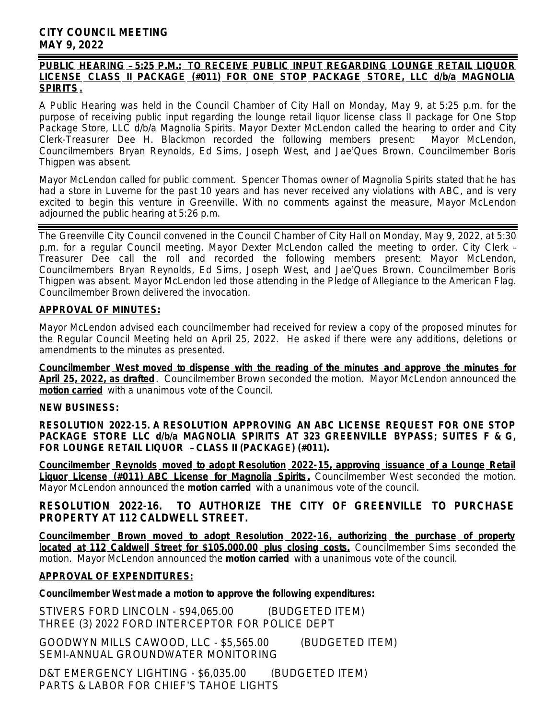## **CITY COUNCIL MEETING MAY 9, 2022**

#### *PUBLIC HEARING* – *5:25 P.M.: TO RECEIVE PUBLIC INPUT REGARDING LOUNGE RETAIL LIQUOR LICENSE CLASS II PACKAGE (#011) FOR ONE STOP PACKAGE STORE, LLC d/b/a MAGNOLIA SPIRITS.*

A Public Hearing was held in the Council Chamber of City Hall on Monday, May 9, at 5:25 p.m. for the purpose of receiving public input regarding the lounge retail liquor license class II package for One Stop Package Store, LLC d/b/a Magnolia Spirits. Mayor Dexter McLendon called the hearing to order and City Clerk-Treasurer Dee H. Blackmon recorded the following members present: Mayor McLendon, Councilmembers Bryan Reynolds, Ed Sims, Joseph West, and Jae'Ques Brown. Councilmember Boris Thigpen was absent.

Mayor McLendon called for public comment. Spencer Thomas owner of Magnolia Spirits stated that he has had a store in Luverne for the past 10 years and has never received any violations with ABC, and is very excited to begin this venture in Greenville. With no comments against the measure, Mayor McLendon adjourned the public hearing at 5:26 p.m.

The Greenville City Council convened in the Council Chamber of City Hall on Monday, May 9, 2022, at 5:30 p.m. for a regular Council meeting. Mayor Dexter McLendon called the meeting to order. City Clerk – Treasurer Dee call the roll and recorded the following members present: Mayor McLendon, Councilmembers Bryan Reynolds, Ed Sims, Joseph West, and Jae'Ques Brown. Councilmember Boris Thigpen was absent. Mayor McLendon led those attending in the Pledge of Allegiance to the American Flag. Councilmember Brown delivered the invocation.

### **APPROVAL OF MINUTES:**

Mayor McLendon advised each councilmember had received for review a copy of the proposed minutes for the Regular Council Meeting held on April 25, 2022. He asked if there were any additions, deletions or amendments to the minutes as presented.

**Councilmember West moved to dispense with the reading of the minutes and approve the minutes for April 25, 2022, as drafted**. Councilmember Brown seconded the motion. Mayor McLendon announced the **motion carried** with a unanimous vote of the Council.

#### **NEW BUSINESS:**

**RESOLUTION 2022-15. A RESOLUTION APPROVING AN ABC LICENSE REQUEST FOR ONE STOP PACKAGE STORE LLC d/b/a MAGNOLIA SPIRITS AT 323 GREENVILLE BYPASS; SUITES F & G, FOR LOUNGE RETAIL LIQUOR** – **CLASS II (PACKAGE) (#011).**

**Councilmember Reynolds moved to adopt Resolution 2022-15, approving issuance of a Lounge Retail Liquor License (#011) ABC License for Magnolia Spirits .** Councilmember West seconded the motion. Mayor McLendon announced the **motion carried** with a unanimous vote of the council.

**RESOLUTION 2022-16. TO AUTHORIZE THE CITY OF GREENVILLE TO PURCHASE PROPERTY AT 112 CALDWELL STREET.**

**Councilmember Brown moved to adopt Resolution 2022-16, authorizing the purchase of property located at 112 Caldwell Street for \$105,000.00 plus closing costs.** Councilmember Sims seconded the motion. Mayor McLendon announced the **motion carried** with a unanimous vote of the council.

### **APPROVAL OF EXPENDITURES:**

### **Councilmember West made a motion to approve the following expenditures:**

STIVERS FORD LINCOLN - \$94,065.00 (BUDGETED ITEM) THREE (3) 2022 FORD INTERCEPTOR FOR POLICE DEPT

GOODWYN MILLS CAWOOD, LLC - \$5,565.00 (BUDGETED ITEM) SEMI-ANNUAL GROUNDWATER MONITORING

D&T EMERGENCY LIGHTING - \$6,035.00 (BUDGETED ITEM) PARTS & LABOR FOR CHIEF'S TAHOE LIGHTS